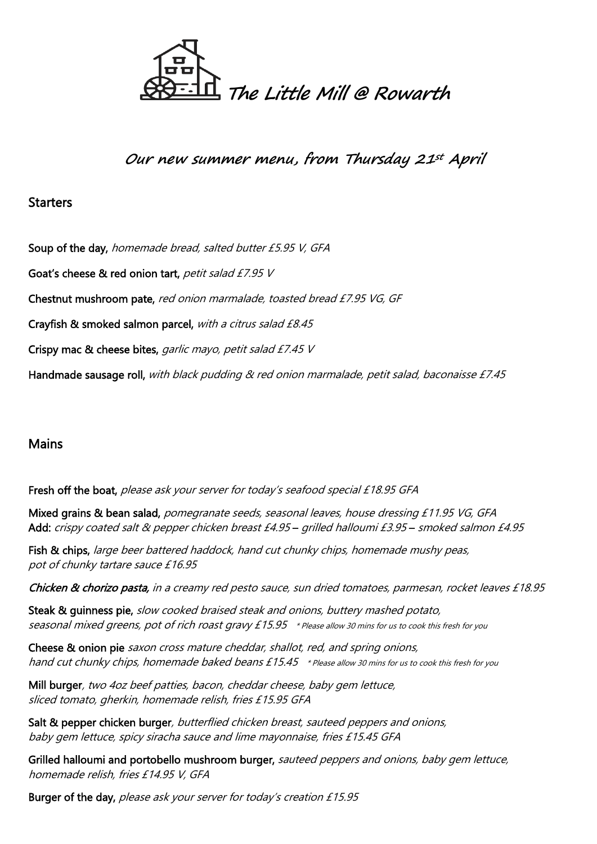

**Our new summer menu, from Thursday 21st April**

# **Starters**

Soup of the day, homemade bread, salted butter £5.95 V, GFA Goat's cheese & red onion tart, petit salad £7.95 V Chestnut mushroom pate, red onion marmalade, toasted bread £7.95 VG, GF Crayfish & smoked salmon parcel, with a citrus salad £8.45 Crispy mac & cheese bites, garlic mayo, petit salad £7.45 V Handmade sausage roll, with black pudding & red onion marmalade, petit salad, baconaisse £7.45

**Mains** 

Fresh off the boat, please ask your server for today's seafood special £18.95 GFA

Mixed grains & bean salad, pomegranate seeds, seasonal leaves, house dressing £11.95 VG, GFA Add: crispy coated salt & pepper chicken breast £4.95 – grilled halloumi £3.95 – smoked salmon £4.95

Fish & chips, large beer battered haddock, hand cut chunky chips, homemade mushy peas, pot of chunky tartare sauce £16.95

Chicken & chorizo pasta, in a creamy red pesto sauce, sun dried tomatoes, parmesan, rocket leaves £18.95

Steak & guinness pie, slow cooked braised steak and onions, buttery mashed potato, seasonal mixed greens, pot of rich roast gravy £15.95 \* Please allow 30 mins for us to cook this fresh for you

Cheese & onion pie saxon cross mature cheddar, shallot, red, and spring onions, hand cut chunky chips, homemade baked beans £15.45 \* Please allow 30 mins for us to cook this fresh for you

Mill burger, two 4oz beef patties, bacon, cheddar cheese, baby gem lettuce, sliced tomato, gherkin, homemade relish, fries £15.95 GFA

Salt & pepper chicken burger, butterflied chicken breast, sauteed peppers and onions, baby gem lettuce, spicy siracha sauce and lime mayonnaise, fries £15.45 GFA

Grilled halloumi and portobello mushroom burger, sauteed peppers and onions, baby gem lettuce, homemade relish, fries £14.95 V, GFA

Burger of the day, please ask your server for today's creation £15.95